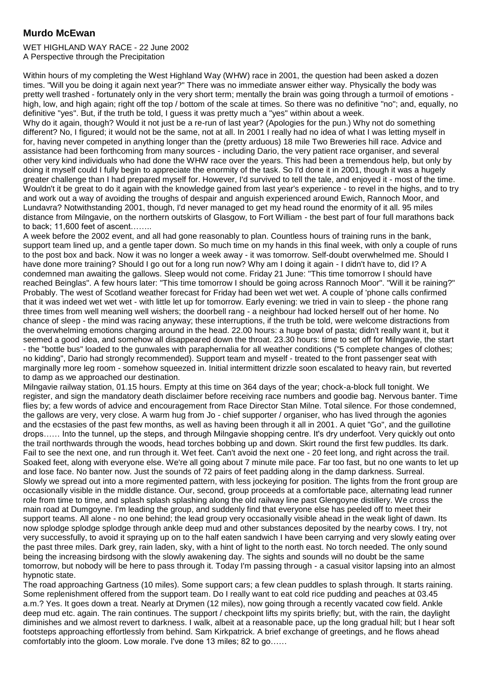## **Murdo McEwan**

WET HIGHLAND WAY RACE - 22 June 2002 A Perspective through the Precipitation

Within hours of my completing the West Highland Way (WHW) race in 2001, the question had been asked a dozen times. "Will you be doing it again next year?" There was no immediate answer either way. Physically the body was pretty well trashed - fortunately only in the very short term; mentally the brain was going through a turmoil of emotions high, low, and high again; right off the top / bottom of the scale at times. So there was no definitive "no"; and, equally, no definitive "yes". But, if the truth be told, I guess it was pretty much a "yes" within about a week.

Why do it again, though? Would it not just be a re-run of last year? (Apologies for the pun.) Why not do something different? No, I figured; it would not be the same, not at all. In 2001 I really had no idea of what I was letting myself in for, having never competed in anything longer than the (pretty arduous) 18 mile Two Breweries hill race. Advice and assistance had been forthcoming from many sources - including Dario, the very patient race organiser, and several other very kind individuals who had done the WHW race over the years. This had been a tremendous help, but only by doing it myself could I fully begin to appreciate the enormity of the task. So I'd done it in 2001, though it was a hugely greater challenge than I had prepared myself for. However, I'd survived to tell the tale, and enjoyed it - most of the time. Wouldn't it be great to do it again with the knowledge gained from last year's experience - to revel in the highs, and to try and work out a way of avoiding the troughs of despair and anguish experienced around Ewich, Rannoch Moor, and Lundavra? Notwithstanding 2001, though, I'd never managed to get my head round the enormity of it all. 95 miles distance from Milngavie, on the northern outskirts of Glasgow, to Fort William - the best part of four full marathons back to back; 11,600 feet of ascent……..

A week before the 2002 event, and all had gone reasonably to plan. Countless hours of training runs in the bank, support team lined up, and a gentle taper down. So much time on my hands in this final week, with only a couple of runs to the post box and back. Now it was no longer a week away - it was tomorrow. Self-doubt overwhelmed me. Should I have done more training? Should I go out for a long run now? Why am I doing it again - I didn't have to, did I? A condemned man awaiting the gallows. Sleep would not come. Friday 21 June: "This time tomorrow I should have reached Beinglas". A few hours later: "This time tomorrow I should be going across Rannoch Moor". "Will it be raining?" Probably. The west of Scotland weather forecast for Friday had been wet wet wet. A couple of 'phone calls confirmed that it was indeed wet wet wet - with little let up for tomorrow. Early evening: we tried in vain to sleep - the phone rang three times from well meaning well wishers; the doorbell rang - a neighbour had locked herself out of her home. No chance of sleep - the mind was racing anyway; these interruptions, if the truth be told, were welcome distractions from the overwhelming emotions charging around in the head. 22.00 hours: a huge bowl of pasta; didn't really want it, but it seemed a good idea, and somehow all disappeared down the throat. 23.30 hours: time to set off for Milngavie, the start - the "bottle bus" loaded to the gunwales with paraphernalia for all weather conditions ("5 complete changes of clothes; no kidding", Dario had strongly recommended). Support team and myself - treated to the front passenger seat with marginally more leg room - somehow squeezed in. Initial intermittent drizzle soon escalated to heavy rain, but reverted to damp as we approached our destination.

Milngavie railway station, 01.15 hours. Empty at this time on 364 days of the year; chock-a-block full tonight. We register, and sign the mandatory death disclaimer before receiving race numbers and goodie bag. Nervous banter. Time flies by; a few words of advice and encouragement from Race Director Stan Milne. Total silence. For those condemned, the gallows are very, very close. A warm hug from Jo - chief supporter / organiser, who has lived through the agonies and the ecstasies of the past few months, as well as having been through it all in 2001. A quiet "Go", and the guillotine drops…… Into the tunnel, up the steps, and through Milngavie shopping centre. It's dry underfoot. Very quickly out onto the trail northwards through the woods, head torches bobbing up and down. Skirt round the first few puddles. Its dark. Fail to see the next one, and run through it. Wet feet. Can't avoid the next one - 20 feet long, and right across the trail. Soaked feet, along with everyone else. We're all going about 7 minute mile pace. Far too fast, but no one wants to let up and lose face. No banter now. Just the sounds of 72 pairs of feet padding along in the damp darkness. Surreal. Slowly we spread out into a more regimented pattern, with less jockeying for position. The lights from the front group are occasionally visible in the middle distance. Our, second, group proceeds at a comfortable pace, alternating lead runner role from time to time, and splash splash splashing along the old railway line past Glengoyne distillery. We cross the main road at Dumgoyne. I'm leading the group, and suddenly find that everyone else has peeled off to meet their support teams. All alone - no one behind; the lead group very occasionally visible ahead in the weak light of dawn. Its now splodge splodge splodge through ankle deep mud and other substances deposited by the nearby cows. I try, not very successfully, to avoid it spraying up on to the half eaten sandwich I have been carrying and very slowly eating over the past three miles. Dark grey, rain laden, sky, with a hint of light to the north east. No torch needed. The only sound being the increasing birdsong with the slowly awakening day. The sights and sounds will no doubt be the same tomorrow, but nobody will be here to pass through it. Today I'm passing through - a casual visitor lapsing into an almost hypnotic state.

The road approaching Gartness (10 miles). Some support cars; a few clean puddles to splash through. It starts raining. Some replenishment offered from the support team. Do I really want to eat cold rice pudding and peaches at 03.45 a.m.? Yes. It goes down a treat. Nearly at Drymen (12 miles), now going through a recently vacated cow field. Ankle deep mud etc. again. The rain continues. The support / checkpoint lifts my spirits briefly; but, with the rain, the daylight diminishes and we almost revert to darkness. I walk, albeit at a reasonable pace, up the long gradual hill; but I hear soft footsteps approaching effortlessly from behind. Sam Kirkpatrick. A brief exchange of greetings, and he flows ahead comfortably into the gloom. Low morale. I've done 13 miles; 82 to go……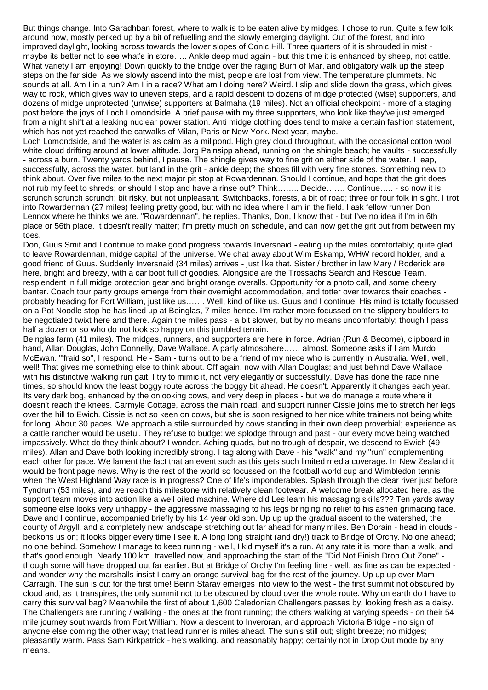But things change. Into Garadhban forest, where to walk is to be eaten alive by midges. I chose to run. Quite a few folk around now, mostly perked up by a bit of refuelling and the slowly emerging daylight. Out of the forest, and into improved daylight, looking across towards the lower slopes of Conic Hill. Three quarters of it is shrouded in mist maybe its better not to see what's in store….. Ankle deep mud again - but this time it is enhanced by sheep, not cattle. What variety I am enjoying! Down quickly to the bridge over the raging Burn of Mar, and obligatory walk up the steep steps on the far side. As we slowly ascend into the mist, people are lost from view. The temperature plummets. No sounds at all. Am I in a run? Am I in a race? What am I doing here? Weird. I slip and slide down the grass, which gives way to rock, which gives way to uneven steps, and a rapid descent to dozens of midge protected (wise) supporters, and dozens of midge unprotected (unwise) supporters at Balmaha (19 miles). Not an official checkpoint - more of a staging post before the joys of Loch Lomondside. A brief pause with my three supporters, who look like they've just emerged from a night shift at a leaking nuclear power station. Anti midge clothing does tend to make a certain fashion statement, which has not yet reached the catwalks of Milan, Paris or New York. Next year, maybe.

Loch Lomondside, and the water is as calm as a millpond. High grey cloud throughout, with the occasional cotton wool white cloud drifting around at lower altitude. Jorg Painsipp ahead, running on the shingle beach; he vaults - successfully - across a burn. Twenty yards behind, I pause. The shingle gives way to fine grit on either side of the water. I leap, successfully, across the water, but land in the grit - ankle deep; the shoes fill with very fine stones. Something new to think about. Over five miles to the next major pit stop at Rowardennan. Should I continue, and hope that the grit does not rub my feet to shreds; or should I stop and have a rinse out? Think…….. Decide……. Continue….. - so now it is scrunch scrunch scrunch; bit risky, but not unpleasant. Switchbacks, forests, a bit of road; three or four folk in sight. I trot into Rowardennan (27 miles) feeling pretty good, but with no idea where I am in the field. I ask fellow runner Don Lennox where he thinks we are. "Rowardennan", he replies. Thanks, Don, I know that - but I've no idea if I'm in 6th place or 56th place. It doesn't really matter; I'm pretty much on schedule, and can now get the grit out from between my toes.

Don, Guus Smit and I continue to make good progress towards Inversnaid - eating up the miles comfortably; quite glad to leave Rowardennan, midge capital of the universe. We chat away about Wim Eskamp, WHW record holder, and a good friend of Guus. Suddenly Inversnaid (34 miles) arrives - just like that. Sister / brother in law Mary / Roderick are here, bright and breezy, with a car boot full of goodies. Alongside are the Trossachs Search and Rescue Team, resplendent in full midge protection gear and bright orange overalls. Opportunity for a photo call, and some cheery banter. Coach tour party groups emerge from their overnight accommodation, and totter over towards their coaches probably heading for Fort William, just like us……. Well, kind of like us. Guus and I continue. His mind is totally focussed on a Pot Noodle stop he has lined up at Beinglas, 7 miles hence. I'm rather more focussed on the slippery boulders to be negotiated twixt here and there. Again the miles pass - a bit slower, but by no means uncomfortably; though I pass half a dozen or so who do not look so happy on this jumbled terrain.

Beinglas farm (41 miles). The midges, runners, and supporters are here in force. Adrian (Run & Become), clipboard in hand, Allan Douglas, John Donnelly, Dave Wallace. A party atmosphere…… almost. Someone asks if I am Murdo McEwan. "'fraid so", I respond. He - Sam - turns out to be a friend of my niece who is currently in Australia. Well, well, well! That gives me something else to think about. Off again, now with Allan Douglas; and just behind Dave Wallace with his distinctive walking run gait. I try to mimic it, not very elegantly or successfully. Dave has done the race nine times, so should know the least boggy route across the boggy bit ahead. He doesn't. Apparently it changes each year. Its very dark bog, enhanced by the onlooking cows, and very deep in places - but we do manage a route where it doesn't reach the knees. Carmyle Cottage, across the main road, and support runner Cissie joins me to stretch her legs over the hill to Ewich. Cissie is not so keen on cows, but she is soon resigned to her nice white trainers not being white for long. About 30 paces. We approach a stile surrounded by cows standing in their own deep proverbial; experience as a cattle rancher would be useful. They refuse to budge; we splodge through and past - our every move being watched impassively. What do they think about? I wonder. Aching quads, but no trough of despair, we descend to Ewich (49 miles). Allan and Dave both looking incredibly strong. I tag along with Dave - his "walk" and my "run" complementing each other for pace. We lament the fact that an event such as this gets such limited media coverage. In New Zealand it would be front page news. Why is the rest of the world so focussed on the football world cup and Wimbledon tennis when the West Highland Way race is in progress? One of life's imponderables. Splash through the clear river just before Tyndrum (53 miles), and we reach this milestone with relatively clean footwear. A welcome break allocated here, as the support team moves into action like a well oiled machine. Where did Les learn his massaging skills??? Ten yards away someone else looks very unhappy - the aggressive massaging to his legs bringing no relief to his ashen grimacing face. Dave and I continue, accompanied briefly by his 14 year old son. Up up up the gradual ascent to the watershed, the county of Argyll, and a completely new landscape stretching out far ahead for many miles. Ben Dorain - head in clouds beckons us on; it looks bigger every time I see it. A long long straight (and dry!) track to Bridge of Orchy. No one ahead; no one behind. Somehow I manage to keep running - well, I kid myself it's a run. At any rate it is more than a walk, and that's good enough. Nearly 100 km. travelled now, and approaching the start of the "Did Not Finish Drop Out Zone" though some will have dropped out far earlier. But at Bridge of Orchy I'm feeling fine - well, as fine as can be expected and wonder why the marshalls insist I carry an orange survival bag for the rest of the journey. Up up up over Mam Carraigh. The sun is out for the first time! Beinn Starav emerges into view to the west - the first summit not obscured by cloud and, as it transpires, the only summit not to be obscured by cloud over the whole route. Why on earth do I have to carry this survival bag? Meanwhile the first of about 1,600 Caledonian Challengers passes by, looking fresh as a daisy. The Challengers are running / walking - the ones at the front running; the others walking at varying speeds - on their 54 mile journey southwards from Fort William. Now a descent to Inveroran, and approach Victoria Bridge - no sign of anyone else coming the other way; that lead runner is miles ahead. The sun's still out; slight breeze; no midges; pleasantly warm. Pass Sam Kirkpatrick - he's walking, and reasonably happy; certainly not in Drop Out mode by any means.